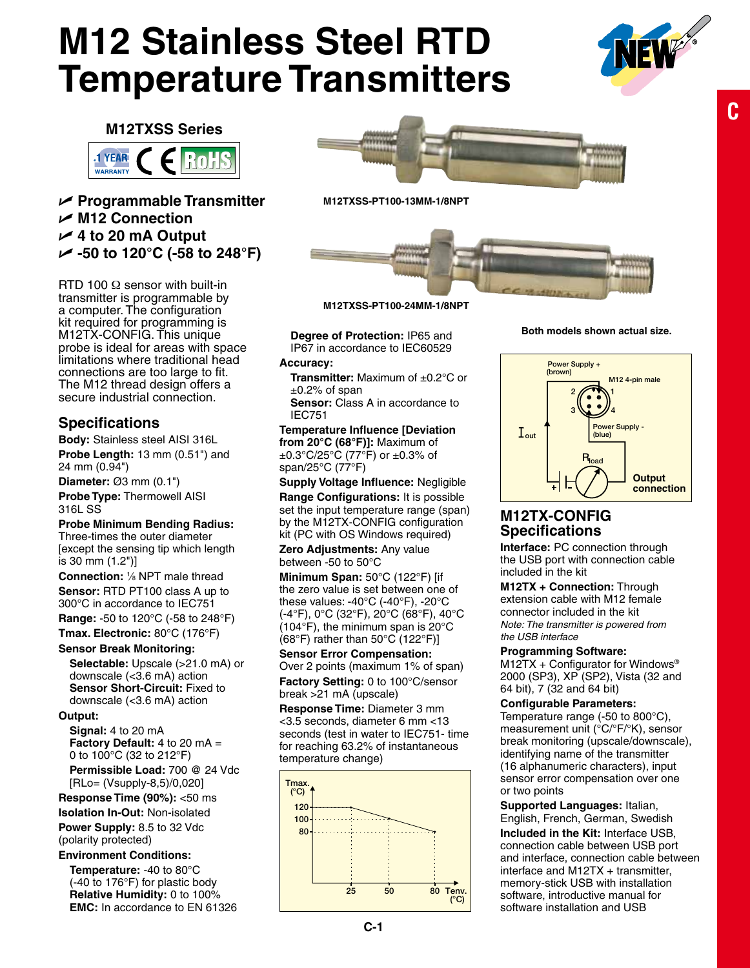# **M12 Stainless Steel RTD Temperature Transmitters**



**C**

17 13 (0.51) and 24 (0.94)

**M12TXSS Series**



## U **Programmable Transmitter** U **M12 Connection** U **4 to 20 mA Output** U **-50 to 120°C (-58 to 248°F)**

RTD 100  $\Omega$  sensor with built-in transmitter is programmable by a computer. The configuration kit required for programming is M12TX-CONFIG. This unique probe is ideal for areas with space limitations where traditional head connections are too large to fit. The M12 thread design offers a secure industrial connection.

## **Specifications**

**Body:** Stainless steel AISI 316L **Probe Length:** 13 mm (0.51") and 24 mm (0.94")

**Diameter:** Ø3 mm (0.1")

**Probe Type:** Thermowell AISI 316L SS

#### **Probe Minimum Bending Radius:**

Three-times the outer diameter [except the sensing tip which length is 30 mm (1.2")]

**Connection:** <sup>1</sup> ⁄8 NPT male thread **Sensor:** RTD PT100 class A up to 300°C in accordance to IEC751

**Range:** -50 to 120°C (-58 to 248°F)

**Tmax. Electronic:** 80°C (176°F)

#### **Sensor Break Monitoring:**

**Selectable:** Upscale (>21.0 mA) or downscale (<3.6 mA) action **Sensor Short-Circuit:** Fixed to downscale (<3.6 mA) action

**Output:** 

**Signal:** 4 to 20 mA **Factory Default:** 4 to 20 mA = 0 to 100°C (32 to 212°F)

**Permissible Load:** 700 @ 24 Vdc [RLo= (Vsupply-8,5)/0,020]

#### **Response Time (90%):** <50 ms

**Isolation In-Out:** Non-isolated **Power Supply:** 8.5 to 32 Vdc

#### (polarity protected) **Environment Conditions:**

**Temperature:** -40 to 80°C (-40 to 176°F) for plastic body **Relative Humidity:** 0 to 100% **EMC:** In accordance to EN 61326



**M12TXSS-PT100-13MM-1/8NPT**



**M12TXSS-PT100-24MM-1/8NPT**

**Degree of Protection:** IP65 and IP67 in accordance to IEC60529

#### **Accuracy:**

**Transmitter:** Maximum of ±0.2°C or  $\pm$ 0.2% of span

**Sensor:** Class A in accordance to IEC751

**Temperature Influence [Deviation from 20°C (68°F)]:** Maximum of  $\pm 0.3^{\circ}$ C/25°C (77°F) or  $\pm 0.3^{\circ}$  of span/25°C (77°F)

Supply Voltage Influence: Negligible **Range Configurations:** It is possible **Configurations:** set the input temperature range (span) by the M12TX-CONFIG configuration kit (PC with OS Windows required)

**Zero Adjustments:** Any value between -50 to 50°C

**Minimum Span:** 50°C (122°F) [if the zero value is set between one of these values:  $-40^{\circ}$ C  $(-40^{\circ}$ F),  $-20^{\circ}$ C (-4°F), 0°C (32°F), 20°C (68°F), 40°C 2 1 (104°F), the minimum span is 20°C  $(68°F)$  rather than 50°C  $(122°F)$ ]

#### **Sensor Error Compensation:** Over 2 points (maximum 1% of span) **Factory Setting:** 0 to 100°C/sensor ractory octting: o to it<br>break >21 mA (upscale)

**Response Time:** Diameter 3 mm <3.5 seconds, diameter 6 mm <13 seconds (test in water to IEC751- time for reaching 63.2% of instantaneous temperature change)



**Both models shown actual size.**



# **M12TX-CONFIG Specifications**

**Interface: PC connection through** the USB port with connection cable included in the kit r<br>C

**M12TX + Connection:** Through extension cable with M12 female connector included in the kit Note: The transmitter is powered from *the USB interface*

#### **Programming Software:**

 $M12TX + Configurator$  for Windows<sup>®</sup> 2000 (SP3), XP (SP2), Vista (32 and 64 bit), 7 (32 and 64 bit)

#### **Configurable Parameters:**

Temperature range (-50 to 800°C), measurement unit (°C/°F/°K), sensor break monitoring (upscale/downscale), identifying name of the transmitter (16 alphanumeric characters), input sensor error compensation over one or two points

**Supported Languages:** Italian, English, French, German, Swedish **Included in the Kit:** Interface USB, connection cable between USB port and interface, connection cable between interface and M12TX + transmitter, memory-stick USB with installation software, introductive manual for software installation and USB